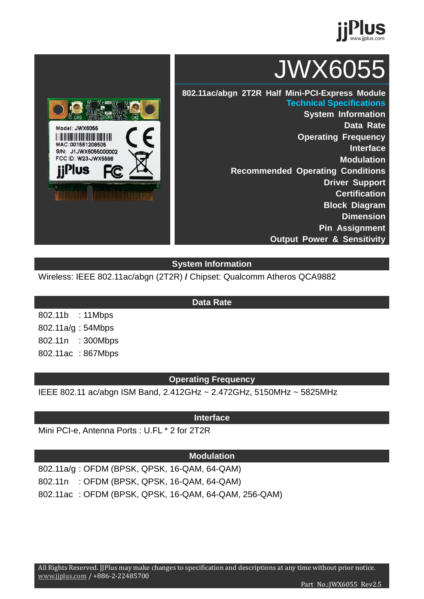

# JWX6055

**802.11ac/abgn 2T2R Half Mini-PCI-Express Module Technical Specifications**

> **System Information Data Rate Operating Frequency Interface Modulation Recommended Operating Conditions Driver Support Certification Block Diagram Dimension Pin Assignment Output Power & Sensitivity**

#### **System Information**

Wireless: IEEE 802.11ac/abgn (2T2R) **/** Chipset: Qualcomm Atheros QCA9882

802.11b : 11Mbps 802.11a/g : 54Mbps 802.11n : 300Mbps 802.11ac : 867Mbps

#### **Operating Frequency**

IEEE 802.11 ac/abgn ISM Band, 2.412GHz ~ 2.472GHz, 5150MHz ~ 5825MHz

#### **Interface**

Mini PCI-e, Antenna Ports : U.FL \* 2 for 2T2R

#### **Modulation**

802.11a/g : OFDM (BPSK, QPSK, 16-QAM, 64-QAM) 802.11n : OFDM (BPSK, QPSK, 16-QAM, 64-QAM) 802.11ac : OFDM (BPSK, QPSK, 16-QAM, 64-QAM, 256-QAM)



**Data Rate**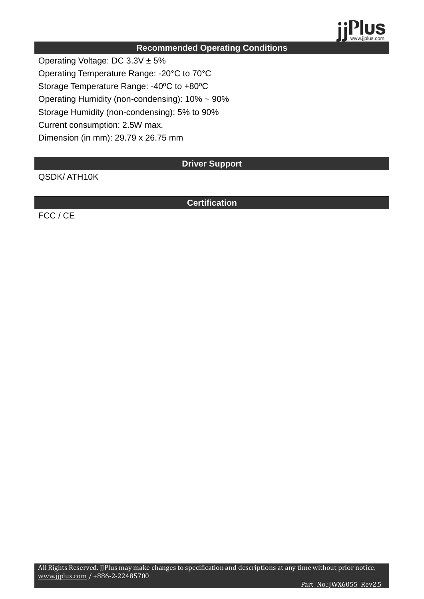

#### **Recommended Operating Conditions**

Operating Voltage: DC 3.3V ± 5%

Operating Temperature Range: -20°C to 70°C

Storage Temperature Range: -40ºC to +80ºC

Operating Humidity (non-condensing): 10% ~ 90%

Storage Humidity (non-condensing): 5% to 90%

Current consumption: 2.5W max.

Dimension (in mm): 29.79 x 26.75 mm

**Driver Support**

QSDK/ ATH10K

**Certification**

FCC / CE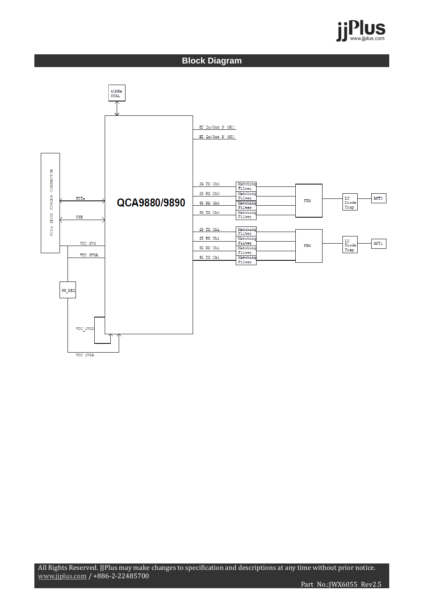

#### **Block Diagram**

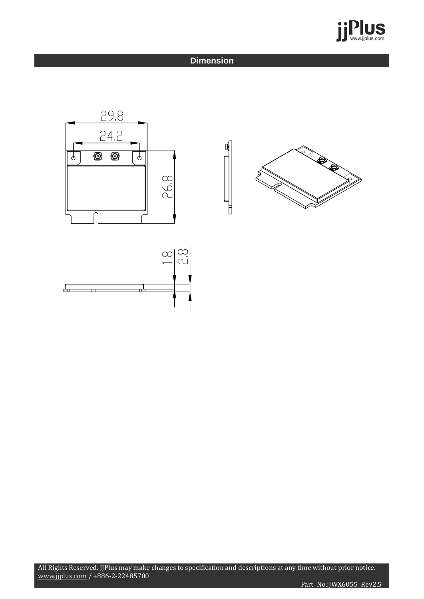

#### **Dimension**





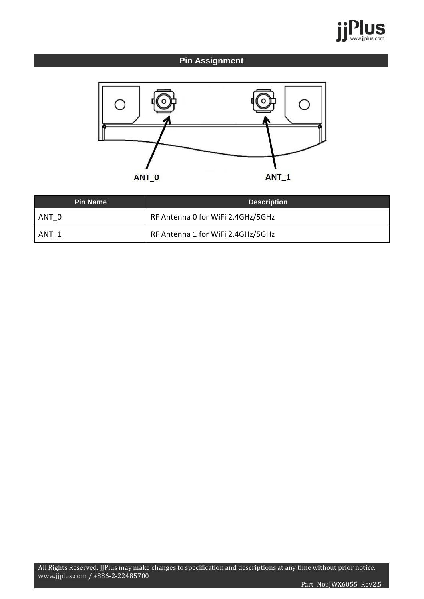

### **Pin Assignment**



| <b>Pin Name</b> | <b>Description</b>                |
|-----------------|-----------------------------------|
| ANT 0           | RF Antenna 0 for WiFi 2.4GHz/5GHz |
| ANT 1           | RF Antenna 1 for WiFi 2.4GHz/5GHz |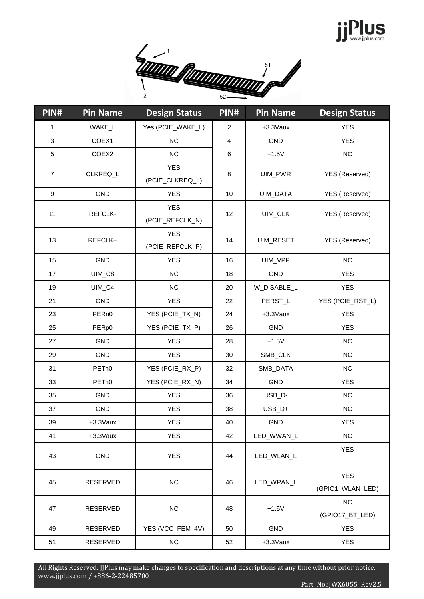## Plus



| PIN#                      | <b>Pin Name</b>   | <b>Design Status</b>          | PIN#                    | <b>Pin Name</b> | <b>Design Status</b>           |
|---------------------------|-------------------|-------------------------------|-------------------------|-----------------|--------------------------------|
| 1                         | WAKE_L            | Yes (PCIE_WAKE_L)             | $\overline{2}$          | +3.3Vaux        | <b>YES</b>                     |
| $\ensuremath{\mathsf{3}}$ | COEX1             | NC                            | $\overline{\mathbf{4}}$ | <b>GND</b>      | <b>YES</b>                     |
| 5                         | COEX2             | NC                            | 6                       | $+1.5V$         | NC                             |
| $\overline{7}$            | CLKREQ_L          | <b>YES</b><br>(PCIE_CLKREQ_L) | 8                       | UIM_PWR         | YES (Reserved)                 |
| $\boldsymbol{9}$          | GND               | <b>YES</b>                    | 10                      | UIM_DATA        | YES (Reserved)                 |
| 11                        | REFCLK-           | <b>YES</b><br>(PCIE_REFCLK_N) | 12                      | UIM_CLK         | YES (Reserved)                 |
| 13                        | REFCLK+           | <b>YES</b><br>(PCIE_REFCLK_P) | 14                      | UIM_RESET       | YES (Reserved)                 |
| 15                        | GND               | <b>YES</b>                    | 16                      | UIM_VPP         | NC                             |
| 17                        | UIM_C8            | NC                            | 18                      | <b>GND</b>      | <b>YES</b>                     |
| 19                        | UIM_C4            | NC                            | 20                      | W_DISABLE_L     | <b>YES</b>                     |
| 21                        | <b>GND</b>        | <b>YES</b>                    | 22                      | PERST_L         | YES (PCIE_RST_L)               |
| 23                        | PER <sub>n0</sub> | YES (PCIE_TX_N)               | 24                      | +3.3Vaux        | <b>YES</b>                     |
| 25                        | PERp0             | YES (PCIE_TX_P)               | 26                      | GND             | <b>YES</b>                     |
| 27                        | <b>GND</b>        | <b>YES</b>                    | 28                      | $+1.5V$         | <b>NC</b>                      |
| 29                        | GND               | <b>YES</b>                    | 30                      | SMB_CLK         | NC                             |
| 31                        | PET <sub>n0</sub> | YES (PCIE_RX_P)               | 32                      | SMB_DATA        | <b>NC</b>                      |
| 33                        | PET <sub>n0</sub> | YES (PCIE_RX_N)               | 34                      | <b>GND</b>      | <b>YES</b>                     |
| 35                        | GND               | <b>YES</b>                    | 36                      | USB_D-          | <b>NC</b>                      |
| 37                        | GND               | <b>YES</b>                    | 38                      | USB_D+          | NC                             |
| 39                        | $+3.3$ Vaux       | <b>YES</b>                    | 40                      | GND             | <b>YES</b>                     |
| 41                        | +3.3Vaux          | <b>YES</b>                    | 42                      | LED_WWAN_L      | NC                             |
| 43                        | <b>GND</b>        | <b>YES</b>                    | 44                      | LED_WLAN_L      | <b>YES</b>                     |
| 45                        | RESERVED          | NC                            | 46                      | LED_WPAN_L      | <b>YES</b><br>(GPIO1_WLAN_LED) |
| 47                        | RESERVED          | NC                            | 48                      | $+1.5V$         | NC<br>(GPIO17_BT_LED)          |
| 49                        | RESERVED          | YES (VCC_FEM_4V)              | 50                      | GND             | <b>YES</b>                     |
| 51                        | RESERVED          | NC                            | 52                      | +3.3Vaux        | <b>YES</b>                     |

All Rights Reserved. JJPlus may make changes to specification and descriptions at any time without prior notice. www.jjplus.com / +886-2-22485700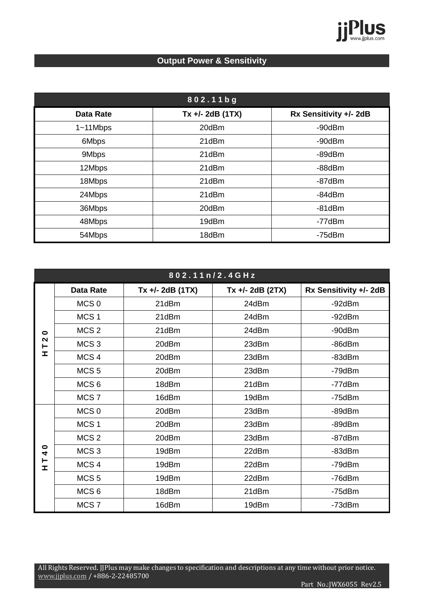

### **Output Power & Sensitivity**

| 802.11bg         |                    |                        |  |  |
|------------------|--------------------|------------------------|--|--|
| <b>Data Rate</b> | $Tx +/- 2dB (1TX)$ | Rx Sensitivity +/- 2dB |  |  |
| $1 - 11$ Mbps    | 20dBm              | $-90dBr$               |  |  |
| 6Mbps            | 21dBm              | $-90dBr$               |  |  |
| 9Mbps            | 21dBm              | $-89$ d $Bm$           |  |  |
| 12Mbps           | 21dBm              | -88dBm                 |  |  |
| 18Mbps           | 21dBm              | -87dBm                 |  |  |
| 24Mbps           | 21dBm              | $-84dBm$               |  |  |
| 36Mbps           | 20dBm              | $-81dBm$               |  |  |
| 48Mbps           | 19dBm              | -77dBm                 |  |  |
| 54Mbps           | 18dBm              | -75dBm                 |  |  |

| 802.11n/2.4GHz         |                  |                    |                    |                        |  |
|------------------------|------------------|--------------------|--------------------|------------------------|--|
|                        | <b>Data Rate</b> | $Tx +/- 2dB (1TX)$ | $Tx +/- 2dB (2TX)$ | Rx Sensitivity +/- 2dB |  |
|                        | MCS <sub>0</sub> | 21dBm              | 24dBm              | -92dBm                 |  |
|                        | MCS <sub>1</sub> | 21dBm              | 24dBm              | $-92dBr$               |  |
| $\bullet$              | MCS <sub>2</sub> | 21dBm              | 24dBm              | -90dBm                 |  |
| $\mathbf{\Omega}$<br>⊢ | MCS <sub>3</sub> | 20dBm              | 23dBm              | $-86dBr$               |  |
| <b>I</b>               | MCS <sub>4</sub> | 20dBm              | 23dBm              | $-83$ d $Bm$           |  |
|                        | MCS <sub>5</sub> | 20dBm              | 23dBm              | $-79dBm$               |  |
|                        | MCS <sub>6</sub> | 18dBm              | 21dBm              | $-77dBr$               |  |
|                        | MCS <sub>7</sub> | 16dBm              | 19dBm              | $-75$ d $Bm$           |  |
|                        | MCS <sub>0</sub> | 20dBm              | 23dBm              | $-89$ d $Bm$           |  |
|                        | MCS <sub>1</sub> | 20dBm              | 23dBm              | -89dBm                 |  |
|                        | MCS <sub>2</sub> | 20dBm              | 23dBm              | $-87$ d $Bm$           |  |
| 0<br>4                 | MCS <sub>3</sub> | 19dBm              | 22dBm              | $-83$ d $Bm$           |  |
| ⊢<br><b>I</b>          | MCS <sub>4</sub> | 19dBm              | 22dBm              | -79dBm                 |  |
|                        | MCS <sub>5</sub> | 19dBm              | 22dBm              | $-76$ d $Bm$           |  |
|                        | MCS <sub>6</sub> | 18dBm              | 21dBm              | $-75$ d $Bm$           |  |
|                        | MCS <sub>7</sub> | 16dBm              | 19dBm              | -73dBm                 |  |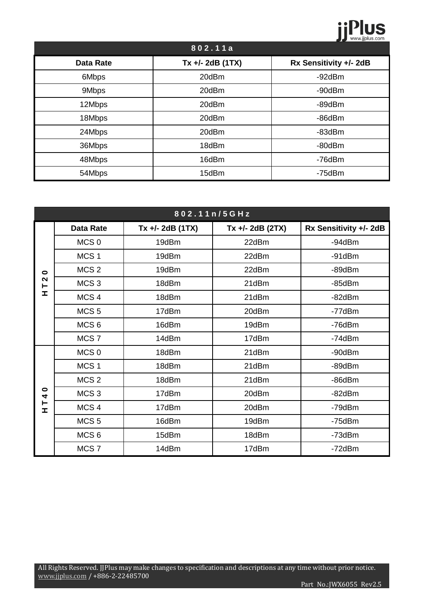## **jPlus**

| 802.11a          |                    |                        |  |  |
|------------------|--------------------|------------------------|--|--|
| <b>Data Rate</b> | $Tx +/- 2dB (1TX)$ | Rx Sensitivity +/- 2dB |  |  |
| 6Mbps            | 20dBm              | $-92dBr$               |  |  |
| 9Mbps            | 20dBm              | $-90dBr$               |  |  |
| 12Mbps           | 20dBm              | -89dBm                 |  |  |
| 18Mbps           | 20dBm              | $-86dBr$               |  |  |
| 24Mbps           | 20dBm              | $-83dBm$               |  |  |
| 36Mbps           | 18dBm              | $-80$ d $Bm$           |  |  |
| 48Mbps           | 16dBm              | $-76$ d $Bm$           |  |  |
| 54Mbps           | 15dBm              | $-75$ d $Bm$           |  |  |

| 802.11n/5GHz           |                  |                    |                    |                        |  |
|------------------------|------------------|--------------------|--------------------|------------------------|--|
|                        | <b>Data Rate</b> | $Tx +/- 2dB (1TX)$ | $Tx +/- 2dB (2TX)$ | Rx Sensitivity +/- 2dB |  |
|                        | MCS <sub>0</sub> | 19dBm              | 22dBm              | $-94dBm$               |  |
|                        | MCS <sub>1</sub> | 19dBm              | 22dBm              | $-91dBm$               |  |
| $\bullet$              | MCS <sub>2</sub> | 19dBm              | 22dBm              | $-89dBr$               |  |
| $\mathbf{\Omega}$<br>⊢ | MCS <sub>3</sub> | 18dBm              | 21dBm              | $-85dBm$               |  |
| I                      | MCS <sub>4</sub> | 18dBm              | 21dBm              | $-82dBr$               |  |
|                        | MCS <sub>5</sub> | 17dBm              | 20dBm              | $-77dBr$               |  |
|                        | MCS <sub>6</sub> | 16dBm              | 19dBm              | -76dBm                 |  |
|                        | MCS <sub>7</sub> | 14dBm              | 17dBm              | $-74dBm$               |  |
|                        | MCS <sub>0</sub> | 18dBm              | 21dBm              | -90dBm                 |  |
|                        | MCS <sub>1</sub> | 18dBm              | 21dBm              | $-89dBr$               |  |
|                        | MCS <sub>2</sub> | 18dBm              | 21dBm              | -86dBm                 |  |
| $\bullet$<br>4         | MCS <sub>3</sub> | 17dBm              | 20dBm              | $-82dBr$               |  |
| ⊢<br><b>I</b>          | MCS <sub>4</sub> | 17dBm              | 20dBm              | $-79dBm$               |  |
|                        | MCS <sub>5</sub> | 16dBm              | 19dBm              | $-75$ d $Bm$           |  |
|                        | MCS <sub>6</sub> | 15dBm              | 18dBm              | $-73dBm$               |  |
|                        | MCS <sub>7</sub> | 14dBm              | 17dBm              | $-72dBm$               |  |